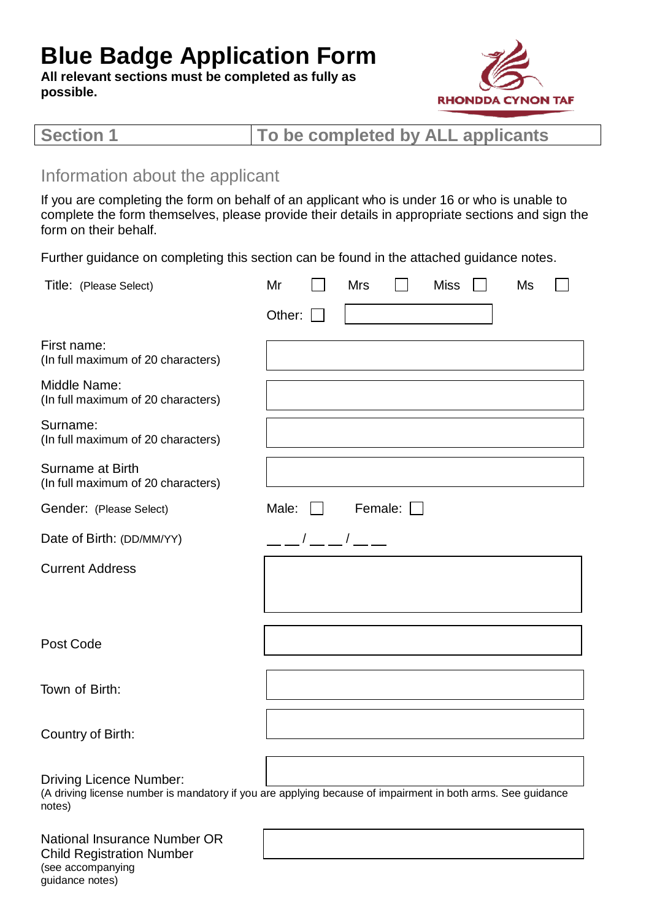# **Blue Badge Application Form**

**All relevant sections must be completed as fully as possible.**



|--|

### Information about the applicant

(see accompanying guidance notes)

If you are completing the form on behalf of an applicant who is under 16 or who is unable to complete the form themselves, please provide their details in appropriate sections and sign the form on their behalf.

Further guidance on completing this section can be found in the attached guidance notes.

| Title: (Please Select)                                                                                                                                  | Mr     | <b>Mrs</b> | <b>Miss</b> | Ms |  |
|---------------------------------------------------------------------------------------------------------------------------------------------------------|--------|------------|-------------|----|--|
|                                                                                                                                                         | Other: |            |             |    |  |
| First name:<br>(In full maximum of 20 characters)                                                                                                       |        |            |             |    |  |
| Middle Name:<br>(In full maximum of 20 characters)                                                                                                      |        |            |             |    |  |
| Surname:<br>(In full maximum of 20 characters)                                                                                                          |        |            |             |    |  |
| <b>Surname at Birth</b><br>(In full maximum of 20 characters)                                                                                           |        |            |             |    |  |
| Gender: (Please Select)                                                                                                                                 | Male:  | Female:    |             |    |  |
| Date of Birth: (DD/MM/YY)                                                                                                                               |        |            |             |    |  |
| <b>Current Address</b>                                                                                                                                  |        |            |             |    |  |
| Post Code                                                                                                                                               |        |            |             |    |  |
| Town of Birth:                                                                                                                                          |        |            |             |    |  |
| Country of Birth:                                                                                                                                       |        |            |             |    |  |
| <b>Driving Licence Number:</b><br>(A driving license number is mandatory if you are applying because of impairment in both arms. See guidance<br>notes) |        |            |             |    |  |
| National Insurance Number OR<br><b>Child Registration Number</b>                                                                                        |        |            |             |    |  |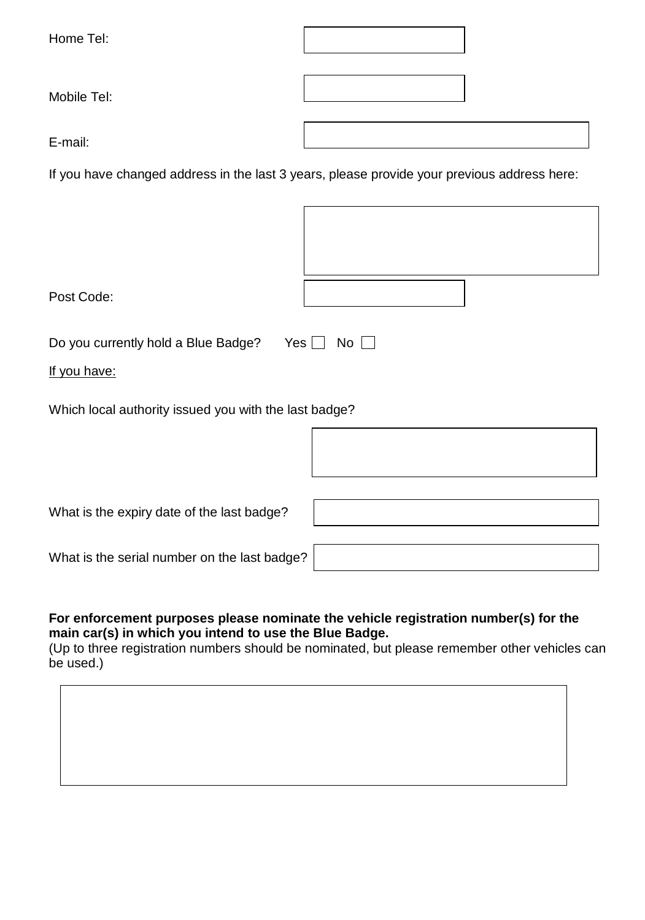| Home Tel:   |  |
|-------------|--|
| Mobile Tel: |  |
| E-mail:     |  |

If you have changed address in the last 3 years, please provide your previous address here:

| Post Code:                                            |             |  |  |
|-------------------------------------------------------|-------------|--|--|
| Do you currently hold a Blue Badge?<br>Yes $\Box$     | $No$ $\Box$ |  |  |
| If you have:                                          |             |  |  |
| Which local authority issued you with the last badge? |             |  |  |
|                                                       |             |  |  |
| What is the expiry date of the last badge?            |             |  |  |
| What is the serial number on the last badge?          |             |  |  |

#### **For enforcement purposes please nominate the vehicle registration number(s) for the main car(s) in which you intend to use the Blue Badge.**

(Up to three registration numbers should be nominated, but please remember other vehicles can be used.)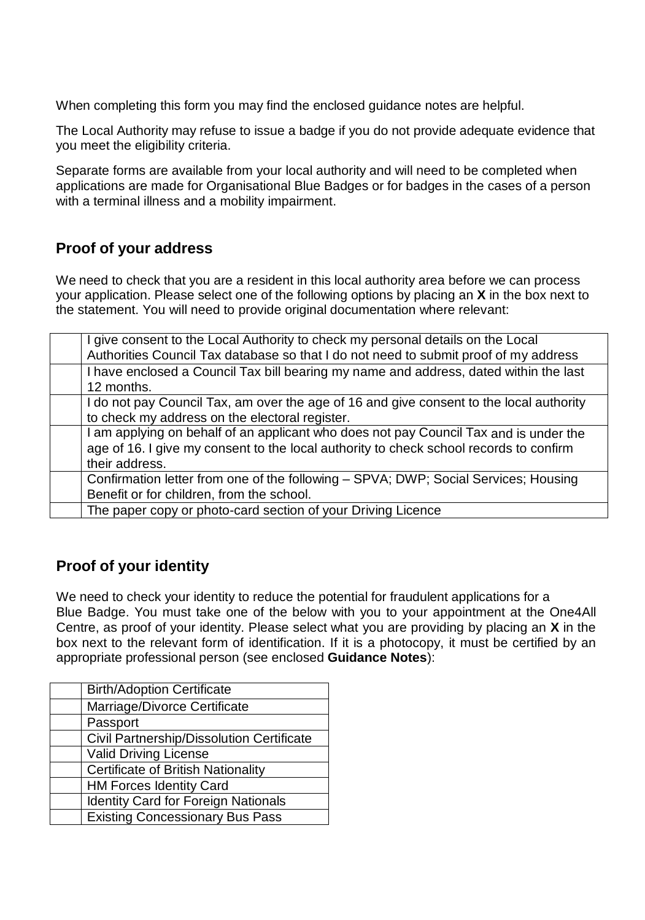When completing this form you may find the enclosed guidance notes are helpful.

The Local Authority may refuse to issue a badge if you do not provide adequate evidence that you meet the eligibility criteria.

Separate forms are available from your local authority and will need to be completed when applications are made for Organisational Blue Badges or for badges in the cases of a person with a terminal illness and a mobility impairment.

### **Proof of your address**

We need to check that you are a resident in this local authority area before we can process your application. Please select one of the following options by placing an **X** in the box next to the statement. You will need to provide original documentation where relevant:

| I give consent to the Local Authority to check my personal details on the Local<br>Authorities Council Tax database so that I do not need to submit proof of my address                           |
|---------------------------------------------------------------------------------------------------------------------------------------------------------------------------------------------------|
| I have enclosed a Council Tax bill bearing my name and address, dated within the last<br>12 months.                                                                                               |
| I do not pay Council Tax, am over the age of 16 and give consent to the local authority<br>to check my address on the electoral register.                                                         |
| I am applying on behalf of an applicant who does not pay Council Tax and is under the<br>age of 16. I give my consent to the local authority to check school records to confirm<br>their address. |
| Confirmation letter from one of the following - SPVA; DWP; Social Services; Housing<br>Benefit or for children, from the school.                                                                  |
| The paper copy or photo-card section of your Driving Licence                                                                                                                                      |

### **Proof of your identity**

We need to check your identity to reduce the potential for fraudulent applications for a Blue Badge. You must take one of the below with you to your appointment at the One4All Centre, as proof of your identity. Please select what you are providing by placing an **X** in the box next to the relevant form of identification. If it is a photocopy, it must be certified by an appropriate professional person (see enclosed **Guidance Notes**):

| <b>Birth/Adoption Certificate</b>          |
|--------------------------------------------|
| Marriage/Divorce Certificate               |
| Passport                                   |
| Civil Partnership/Dissolution Certificate  |
| <b>Valid Driving License</b>               |
| <b>Certificate of British Nationality</b>  |
| <b>HM Forces Identity Card</b>             |
| <b>Identity Card for Foreign Nationals</b> |
| <b>Existing Concessionary Bus Pass</b>     |
|                                            |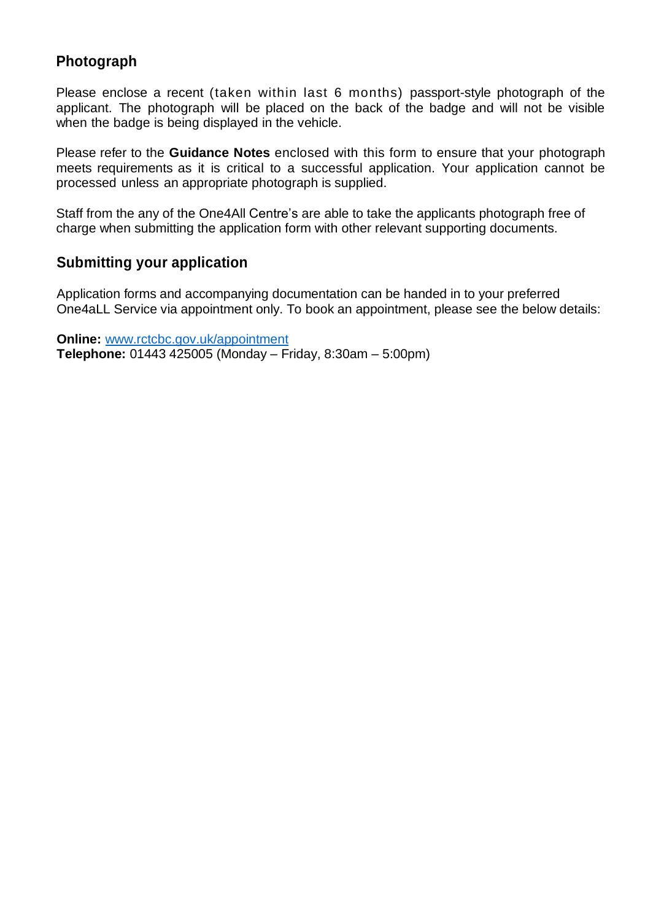### **Photograph**

Please enclose a recent (taken within last 6 months) passport-style photograph of the applicant. The photograph will be placed on the back of the badge and will not be visible when the badge is being displayed in the vehicle.

Please refer to the **Guidance Notes** enclosed with this form to ensure that your photograph meets requirements as it is critical to a successful application. Your application cannot be processed unless an appropriate photograph is supplied.

Staff from the any of the One4All Centre's are able to take the applicants photograph free of charge when submitting the application form with other relevant supporting documents.

### **Submitting your application**

Application forms and accompanying documentation can be handed in to your preferred One4aLL Service via appointment only. To book an appointment, please see the below details:

**Online:** [www.rctcbc.gov.uk/appointment](http://www.rctcbc.gov.uk/appointment)  **Telephone:** 01443 425005 (Monday – Friday, 8:30am – 5:00pm)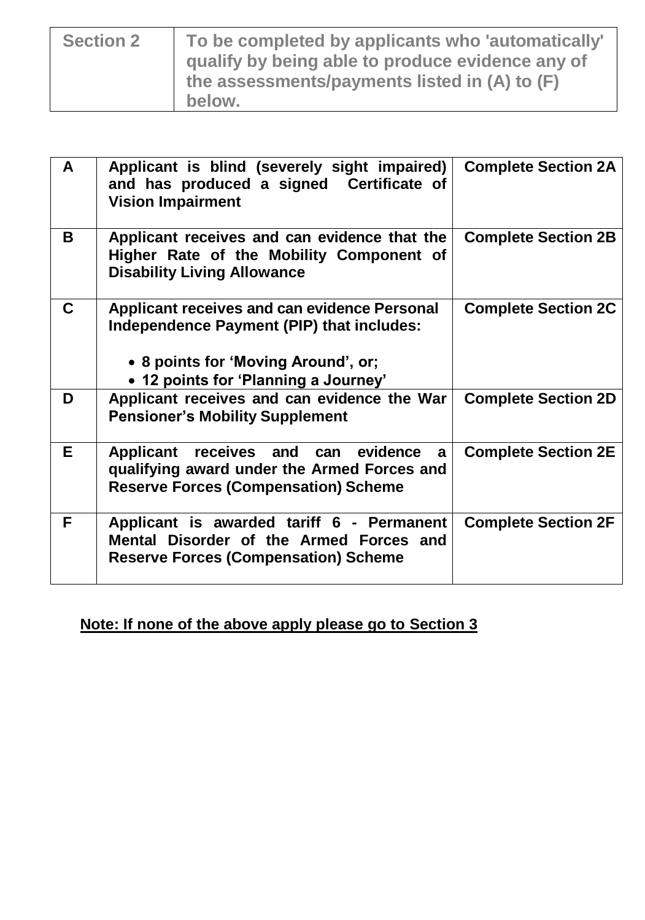| <b>Section 2</b> | To be completed by applicants who 'automatically'<br>qualify by being able to produce evidence any of<br>the assessments/payments listed in (A) to (F)<br>below. |
|------------------|------------------------------------------------------------------------------------------------------------------------------------------------------------------|
|                  |                                                                                                                                                                  |

| A | Applicant is blind (severely sight impaired)<br>and has produced a signed Certificate of<br><b>Vision Impairment</b>                                                            | <b>Complete Section 2A</b> |
|---|---------------------------------------------------------------------------------------------------------------------------------------------------------------------------------|----------------------------|
| B | Applicant receives and can evidence that the<br>Higher Rate of the Mobility Component of<br><b>Disability Living Allowance</b>                                                  | <b>Complete Section 2B</b> |
| C | <b>Applicant receives and can evidence Personal</b><br>Independence Payment (PIP) that includes:<br>• 8 points for 'Moving Around', or;<br>• 12 points for 'Planning a Journey' | <b>Complete Section 2C</b> |
| D | Applicant receives and can evidence the War<br><b>Pensioner's Mobility Supplement</b>                                                                                           | <b>Complete Section 2D</b> |
| Е | Applicant receives and can evidence<br>a<br>qualifying award under the Armed Forces and<br><b>Reserve Forces (Compensation) Scheme</b>                                          | <b>Complete Section 2E</b> |
| F | Applicant is awarded tariff 6 - Permanent<br>Mental Disorder of the Armed Forces and<br><b>Reserve Forces (Compensation) Scheme</b>                                             | <b>Complete Section 2F</b> |

**Note: If none of the above apply please go to Section 3**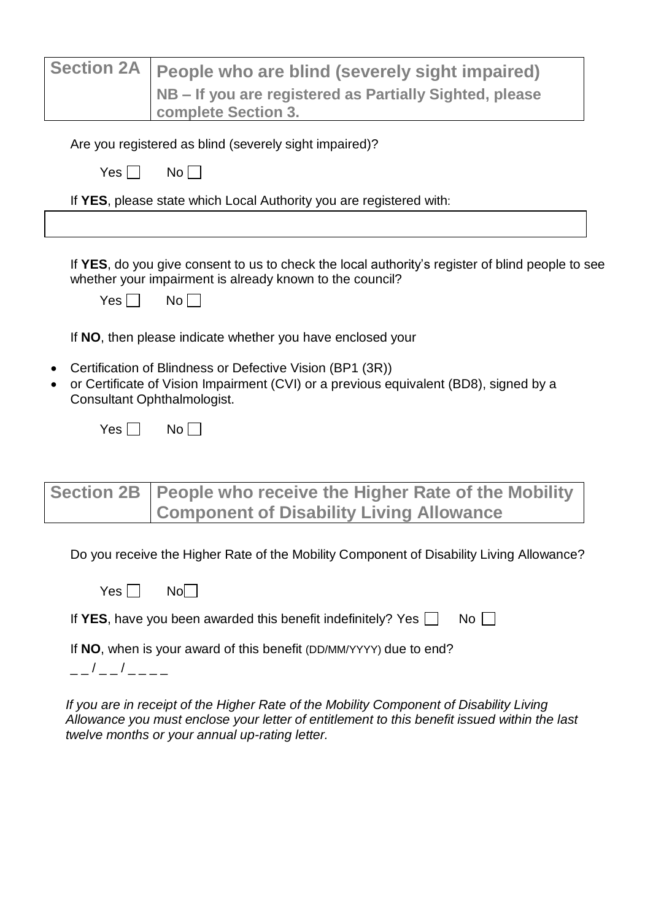| <b>Section 2A</b> | People who are blind (severely sight impaired)                                                                                                                                    |
|-------------------|-----------------------------------------------------------------------------------------------------------------------------------------------------------------------------------|
|                   | NB – If you are registered as Partially Sighted, please                                                                                                                           |
|                   | complete Section 3.                                                                                                                                                               |
|                   |                                                                                                                                                                                   |
|                   | Are you registered as blind (severely sight impaired)?                                                                                                                            |
| Yes               | No l                                                                                                                                                                              |
|                   | If YES, please state which Local Authority you are registered with:                                                                                                               |
|                   |                                                                                                                                                                                   |
|                   |                                                                                                                                                                                   |
|                   | If YES, do you give consent to us to check the local authority's register of blind people to see<br>whether your impairment is already known to the council?                      |
| Yes I             | No <sub>1</sub>                                                                                                                                                                   |
|                   | If NO, then please indicate whether you have enclosed your                                                                                                                        |
|                   | Certification of Blindness or Defective Vision (BP1 (3R))<br>or Certificate of Vision Impairment (CVI) or a previous equivalent (BD8), signed by a<br>Consultant Ophthalmologist. |
| <b>Yes</b>        | No                                                                                                                                                                                |
|                   |                                                                                                                                                                                   |
|                   |                                                                                                                                                                                   |
| <b>Section 2B</b> | People who receive the Higher Rate of the Mobility<br><b>Component of Disability Living Allowance</b>                                                                             |
|                   | Do you receive the Higher Rate of the Mobility Component of Disability Living Allowance?                                                                                          |
| Yes               | No                                                                                                                                                                                |
|                   | If YES, have you been awarded this benefit indefinitely? Yes $\Box$<br>No                                                                                                         |

If **NO**, when is your award of this benefit (DD/MM/YYYY) due to end?

 $- / - / - - - - -$ 

*If you are in receipt of the Higher Rate of the Mobility Component of Disability Living Allowance you must enclose your letter of entitlement to this benefit issued within the last twelve months or your annual up-rating letter.*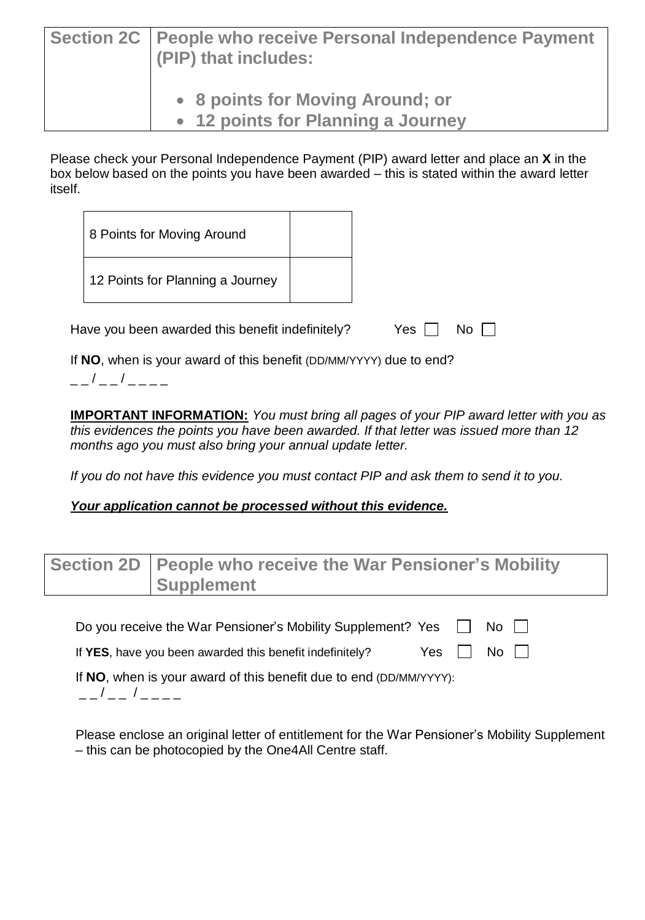| Section 2C   People who receive Personal Independence Payment<br>(PIP) that includes: |
|---------------------------------------------------------------------------------------|
| • 8 points for Moving Around; or<br>• 12 points for Planning a Journey                |

Please check your Personal Independence Payment (PIP) award letter and place an **X** in the box below based on the points you have been awarded – this is stated within the award letter itself.

| 8 Points for Moving Around                                     |  |  |  |
|----------------------------------------------------------------|--|--|--|
| 12 Points for Planning a Journey                               |  |  |  |
| Have you been awarded this benefit indefinitely?<br>Yes<br>No. |  |  |  |
|                                                                |  |  |  |

If **NO**, when is your award of this benefit (DD/MM/YYYY) due to end?

 $-$  /  $-$  /  $-$ 

**IMPORTANT INFORMATION:** *You must bring all pages of your PIP award letter with you as this evidences the points you have been awarded. If that letter was issued more than 12 months ago you must also bring your annual update letter.* 

*If you do not have this evidence you must contact PIP and ask them to send it to you.*

#### *Your application cannot be processed without this evidence.*

| Section 2D   People who receive the War Pensioner's Mobility<br><b>Supplement</b> |
|-----------------------------------------------------------------------------------|
| Do you receive the War Pensioner's Mobility Supplement? Yes □<br>No II            |
| $No$ $  $<br>Yes<br>If YES, have you been awarded this benefit indefinitely?      |

If **NO**, when is your award of this benefit due to end (DD/MM/YYYY):

 $-$  /  $-$  /  $-$ 

Please enclose an original letter of entitlement for the War Pensioner's Mobility Supplement – this can be photocopied by the One4All Centre staff.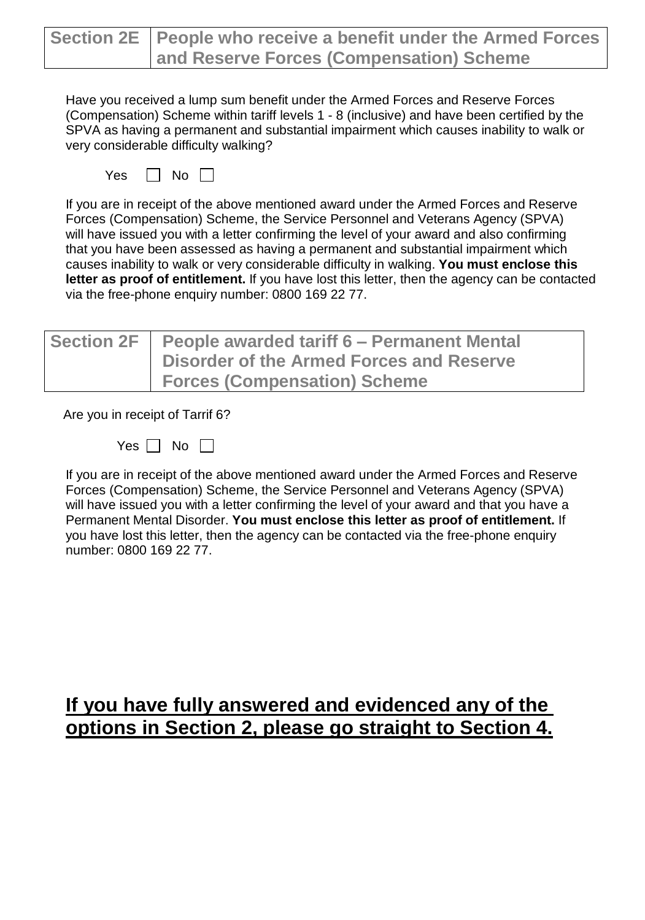| Section 2E   People who receive a benefit under the Armed Forces |
|------------------------------------------------------------------|
| and Reserve Forces (Compensation) Scheme                         |

Have you received a lump sum benefit under the Armed Forces and Reserve Forces (Compensation) Scheme within tariff levels 1 - 8 (inclusive) and have been certified by the SPVA as having a permanent and substantial impairment which causes inability to walk or very considerable difficulty walking?

|  | ľ |  |
|--|---|--|
|--|---|--|

If you are in receipt of the above mentioned award under the Armed Forces and Reserve Forces (Compensation) Scheme, the Service Personnel and Veterans Agency (SPVA) will have issued you with a letter confirming the level of your award and also confirming that you have been assessed as having a permanent and substantial impairment which causes inability to walk or very considerable difficulty in walking. **You must enclose this letter as proof of entitlement.** If you have lost this letter, then the agency can be contacted via the free-phone enquiry number: 0800 169 22 77.

| Section 2F   People awarded tariff 6 - Permanent Mental<br><b>Disorder of the Armed Forces and Reserve</b> |
|------------------------------------------------------------------------------------------------------------|
| <b>Forces (Compensation) Scheme</b>                                                                        |

Are you in receipt of Tarrif 6?

If you are in receipt of the above mentioned award under the Armed Forces and Reserve Forces (Compensation) Scheme, the Service Personnel and Veterans Agency (SPVA) will have issued you with a letter confirming the level of your award and that you have a Permanent Mental Disorder. **You must enclose this letter as proof of entitlement.** If you have lost this letter, then the agency can be contacted via the free-phone enquiry number: 0800 169 22 77.

## **If you have fully answered and evidenced any of the options in Section 2, please go straight to Section 4.**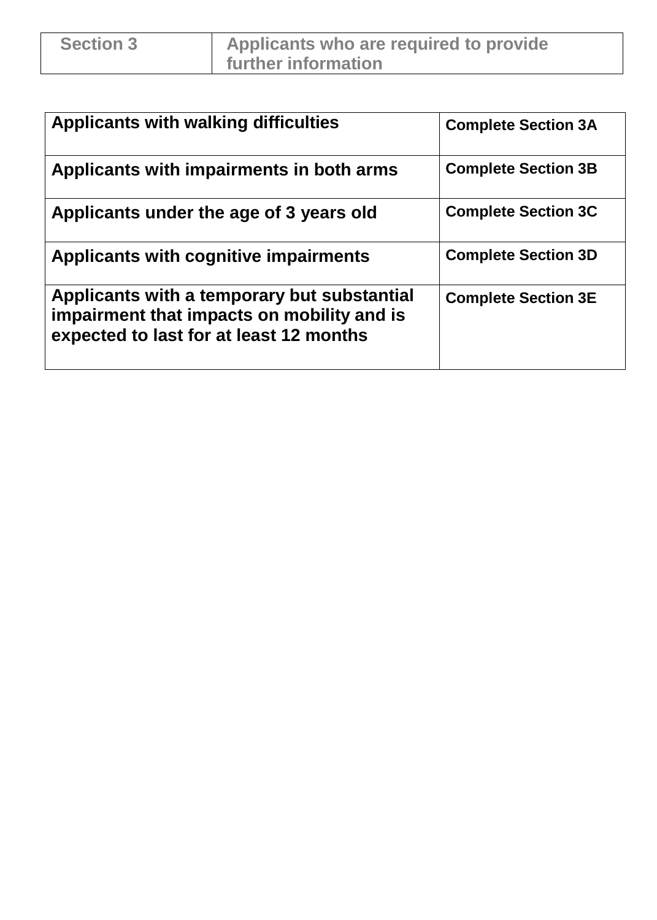| <b>Applicants with walking difficulties</b>                                                                                          | <b>Complete Section 3A</b> |
|--------------------------------------------------------------------------------------------------------------------------------------|----------------------------|
| Applicants with impairments in both arms                                                                                             | <b>Complete Section 3B</b> |
| Applicants under the age of 3 years old                                                                                              | <b>Complete Section 3C</b> |
| Applicants with cognitive impairments                                                                                                | <b>Complete Section 3D</b> |
| Applicants with a temporary but substantial<br>impairment that impacts on mobility and is<br>expected to last for at least 12 months | <b>Complete Section 3E</b> |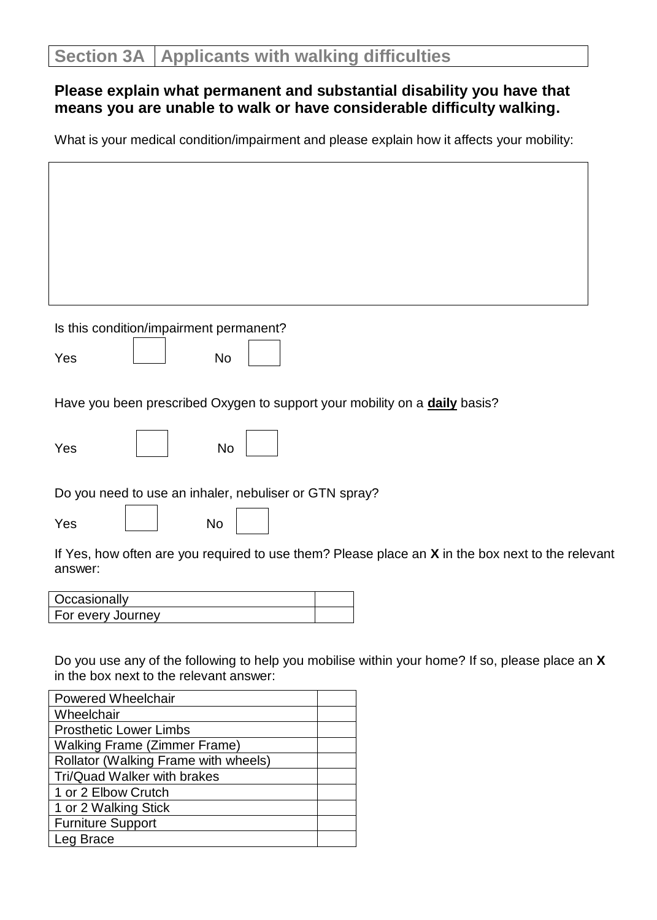$\Gamma$ 

### **Please explain what permanent and substantial disability you have that means you are unable to walk or have considerable difficulty walking.**

What is your medical condition/impairment and please explain how it affects your mobility:

ו

| Is this condition/impairment permanent?<br>Yes<br><b>No</b><br>Have you been prescribed Oxygen to support your mobility on a daily basis?<br>Yes<br>No<br>Do you need to use an inhaler, nebuliser or GTN spray?<br>Yes<br>No<br>If Yes, how often are you required to use them? Please place an $X$ in the box next to the relevant<br>answer:<br>Occasionally<br>For every Journey<br>Do you use any of the following to help you mobilise within your home? If so, please place an X<br>in the box next to the relevant answer:<br>Powered Wheelchair<br>Wheelchair |                          |
|------------------------------------------------------------------------------------------------------------------------------------------------------------------------------------------------------------------------------------------------------------------------------------------------------------------------------------------------------------------------------------------------------------------------------------------------------------------------------------------------------------------------------------------------------------------------|--------------------------|
|                                                                                                                                                                                                                                                                                                                                                                                                                                                                                                                                                                        |                          |
|                                                                                                                                                                                                                                                                                                                                                                                                                                                                                                                                                                        |                          |
|                                                                                                                                                                                                                                                                                                                                                                                                                                                                                                                                                                        |                          |
|                                                                                                                                                                                                                                                                                                                                                                                                                                                                                                                                                                        |                          |
|                                                                                                                                                                                                                                                                                                                                                                                                                                                                                                                                                                        |                          |
|                                                                                                                                                                                                                                                                                                                                                                                                                                                                                                                                                                        |                          |
|                                                                                                                                                                                                                                                                                                                                                                                                                                                                                                                                                                        |                          |
|                                                                                                                                                                                                                                                                                                                                                                                                                                                                                                                                                                        |                          |
|                                                                                                                                                                                                                                                                                                                                                                                                                                                                                                                                                                        |                          |
|                                                                                                                                                                                                                                                                                                                                                                                                                                                                                                                                                                        |                          |
|                                                                                                                                                                                                                                                                                                                                                                                                                                                                                                                                                                        |                          |
|                                                                                                                                                                                                                                                                                                                                                                                                                                                                                                                                                                        |                          |
|                                                                                                                                                                                                                                                                                                                                                                                                                                                                                                                                                                        |                          |
|                                                                                                                                                                                                                                                                                                                                                                                                                                                                                                                                                                        |                          |
|                                                                                                                                                                                                                                                                                                                                                                                                                                                                                                                                                                        |                          |
|                                                                                                                                                                                                                                                                                                                                                                                                                                                                                                                                                                        |                          |
|                                                                                                                                                                                                                                                                                                                                                                                                                                                                                                                                                                        |                          |
|                                                                                                                                                                                                                                                                                                                                                                                                                                                                                                                                                                        |                          |
|                                                                                                                                                                                                                                                                                                                                                                                                                                                                                                                                                                        |                          |
|                                                                                                                                                                                                                                                                                                                                                                                                                                                                                                                                                                        |                          |
|                                                                                                                                                                                                                                                                                                                                                                                                                                                                                                                                                                        |                          |
|                                                                                                                                                                                                                                                                                                                                                                                                                                                                                                                                                                        |                          |
|                                                                                                                                                                                                                                                                                                                                                                                                                                                                                                                                                                        |                          |
|                                                                                                                                                                                                                                                                                                                                                                                                                                                                                                                                                                        |                          |
|                                                                                                                                                                                                                                                                                                                                                                                                                                                                                                                                                                        |                          |
|                                                                                                                                                                                                                                                                                                                                                                                                                                                                                                                                                                        |                          |
| <b>Prosthetic Lower Limbs</b>                                                                                                                                                                                                                                                                                                                                                                                                                                                                                                                                          |                          |
| <b>Walking Frame (Zimmer Frame)</b><br>Rollator (Walking Frame with wheels)                                                                                                                                                                                                                                                                                                                                                                                                                                                                                            |                          |
| Tri/Quad Walker with brakes                                                                                                                                                                                                                                                                                                                                                                                                                                                                                                                                            |                          |
| 1 or 2 Elbow Crutch                                                                                                                                                                                                                                                                                                                                                                                                                                                                                                                                                    |                          |
| 1 or 2 Walking Stick                                                                                                                                                                                                                                                                                                                                                                                                                                                                                                                                                   |                          |
|                                                                                                                                                                                                                                                                                                                                                                                                                                                                                                                                                                        |                          |
| Leg Brace                                                                                                                                                                                                                                                                                                                                                                                                                                                                                                                                                              | <b>Furniture Support</b> |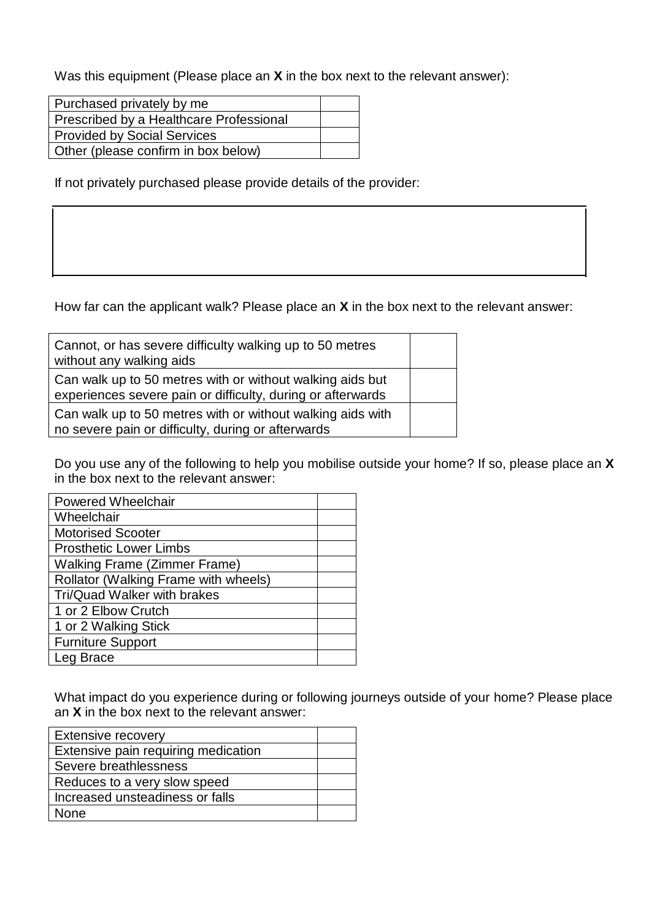Was this equipment (Please place an **X** in the box next to the relevant answer):

| Purchased privately by me               |  |
|-----------------------------------------|--|
| Prescribed by a Healthcare Professional |  |
| <b>Provided by Social Services</b>      |  |
| Other (please confirm in box below)     |  |

If not privately purchased please provide details of the provider:

How far can the applicant walk? Please place an **X** in the box next to the relevant answer:

| Cannot, or has severe difficulty walking up to 50 metres<br>without any walking aids                                     |  |
|--------------------------------------------------------------------------------------------------------------------------|--|
| Can walk up to 50 metres with or without walking aids but<br>experiences severe pain or difficulty, during or afterwards |  |
| Can walk up to 50 metres with or without walking aids with<br>no severe pain or difficulty, during or afterwards         |  |

Do you use any of the following to help you mobilise outside your home? If so, please place an **X** in the box next to the relevant answer:

| <b>Powered Wheelchair</b>            |  |
|--------------------------------------|--|
| Wheelchair                           |  |
| <b>Motorised Scooter</b>             |  |
| <b>Prosthetic Lower Limbs</b>        |  |
| <b>Walking Frame (Zimmer Frame)</b>  |  |
| Rollator (Walking Frame with wheels) |  |
| Tri/Quad Walker with brakes          |  |
| 1 or 2 Elbow Crutch                  |  |
| 1 or 2 Walking Stick                 |  |
| <b>Furniture Support</b>             |  |
| Brace<br>.ea                         |  |

What impact do you experience during or following journeys outside of your home? Please place an **X** in the box next to the relevant answer:

| <b>Extensive recovery</b>           |  |
|-------------------------------------|--|
| Extensive pain requiring medication |  |
| Severe breathlessness               |  |
| Reduces to a very slow speed        |  |
| Increased unsteadiness or falls     |  |
| <b>None</b>                         |  |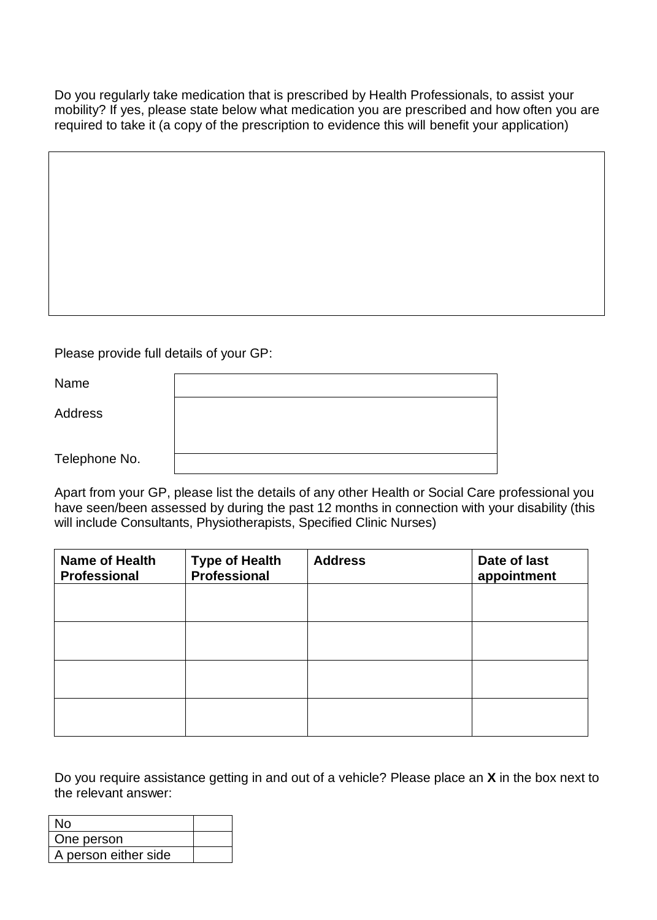Do you regularly take medication that is prescribed by Health Professionals, to assist your mobility? If yes, please state below what medication you are prescribed and how often you are required to take it (a copy of the prescription to evidence this will benefit your application)

Please provide full details of your GP:

| Name           |  |
|----------------|--|
| <b>Address</b> |  |
| Telephone No.  |  |

Apart from your GP, please list the details of any other Health or Social Care professional you have seen/been assessed by during the past 12 months in connection with your disability (this will include Consultants, Physiotherapists, Specified Clinic Nurses)

| <b>Name of Health</b><br><b>Professional</b> | <b>Type of Health</b><br>Professional | <b>Address</b> | Date of last<br>appointment |
|----------------------------------------------|---------------------------------------|----------------|-----------------------------|
|                                              |                                       |                |                             |
|                                              |                                       |                |                             |
|                                              |                                       |                |                             |
|                                              |                                       |                |                             |

Do you require assistance getting in and out of a vehicle? Please place an **X** in the box next to the relevant answer:

| N٥                   |  |
|----------------------|--|
| One person           |  |
| A person either side |  |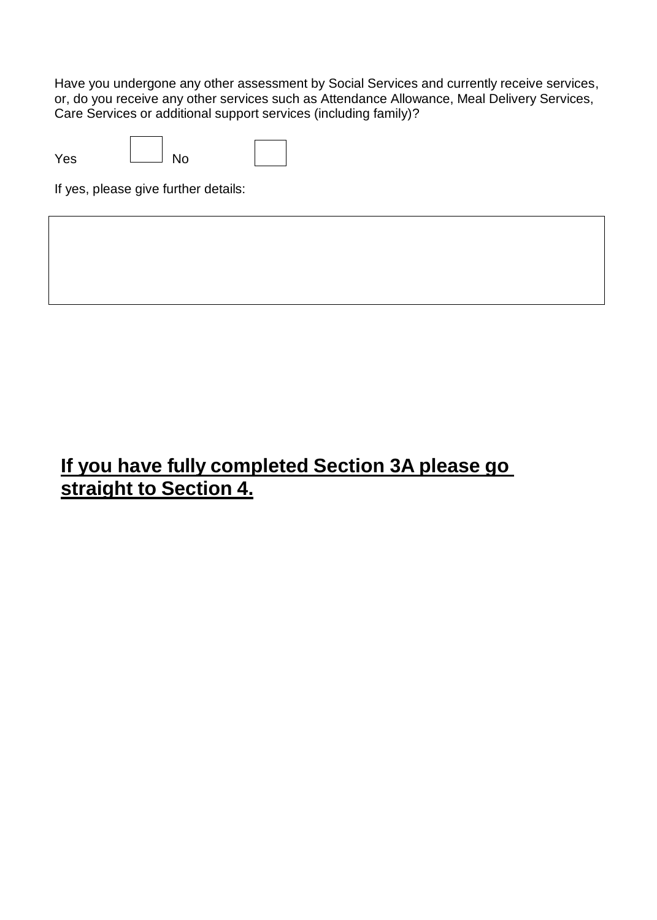Have you undergone any other assessment by Social Services and currently receive services, or, do you receive any other services such as Attendance Allowance, Meal Delivery Services, Care Services or additional support services (including family)?

| Yes | No |  |
|-----|----|--|

If yes, please give further details:

## **If you have fully completed Section 3A please go straight to Section 4.**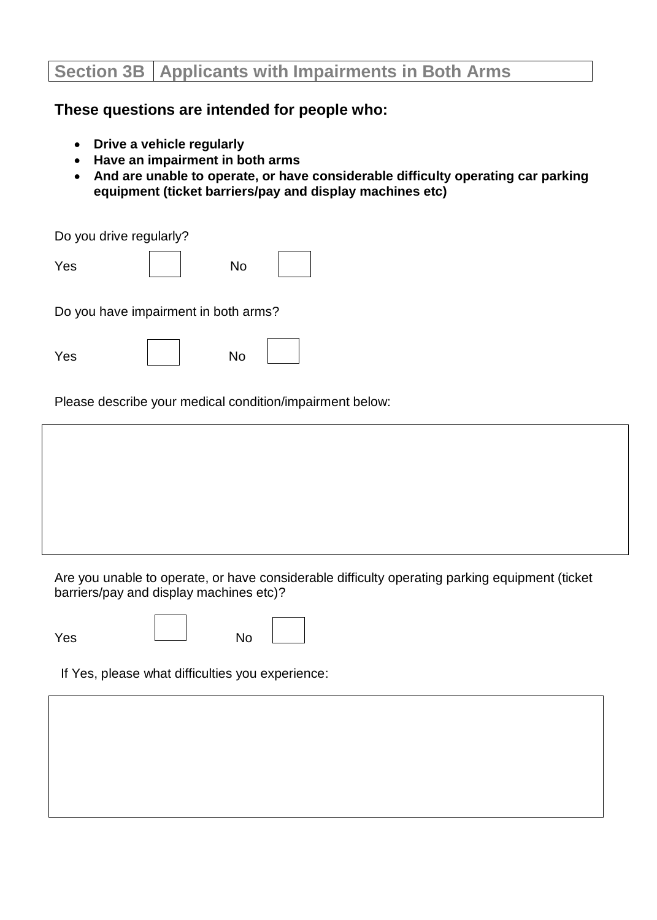### **Section 3B Applicants with Impairments in Both Arms**

#### **These questions are intended for people who:**

- **Drive a vehicle regularly**
- **Have an impairment in both arms**
- **And are unable to operate, or have considerable difficulty operating car parking equipment (ticket barriers/pay and display machines etc)**

Do you drive regularly?

| <b>Yes</b>                           | No |  |
|--------------------------------------|----|--|
| Do you have impairment in both arms? |    |  |

| Yes | No |  |
|-----|----|--|
|     |    |  |

Please describe your medical condition/impairment below:

Are you unable to operate, or have considerable difficulty operating parking equipment (ticket barriers/pay and display machines etc)?

Yes <u>Landia</u> No

If Yes, please what difficulties you experience: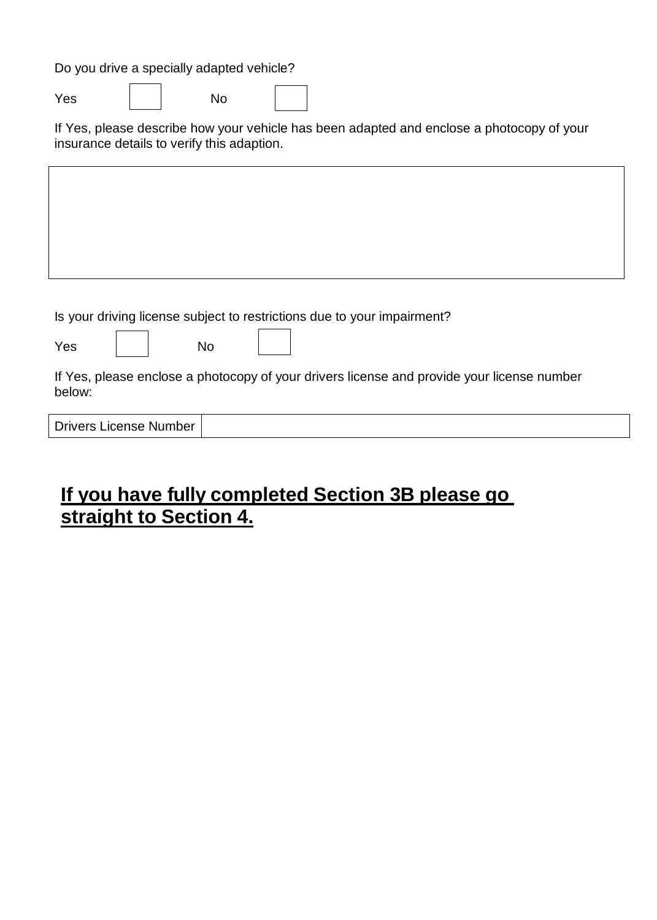Do you drive a specially adapted vehicle?

Yes | No

If Yes, please describe how your vehicle has been adapted and enclose a photocopy of your insurance details to verify this adaption.

Is your driving license subject to restrictions due to your impairment?

Yes | | No

If Yes, please enclose a photocopy of your drivers license and provide your license number below:

# **If you have fully completed Section 3B please go straight to Section 4.**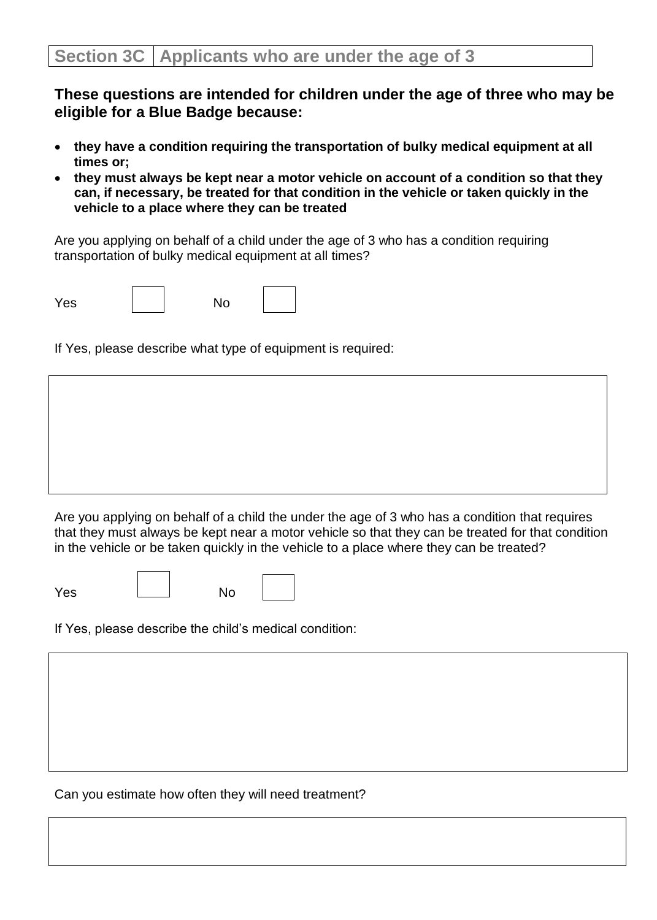**These questions are intended for children under the age of three who may be eligible for a Blue Badge because:**

- **they have a condition requiring the transportation of bulky medical equipment at all times or;**
- **they must always be kept near a motor vehicle on account of a condition so that they can, if necessary, be treated for that condition in the vehicle or taken quickly in the vehicle to a place where they can be treated**

Are you applying on behalf of a child under the age of 3 who has a condition requiring transportation of bulky medical equipment at all times?

| Yes | No |  |
|-----|----|--|
|-----|----|--|

If Yes, please describe what type of equipment is required:

Are you applying on behalf of a child the under the age of 3 who has a condition that requires that they must always be kept near a motor vehicle so that they can be treated for that condition in the vehicle or be taken quickly in the vehicle to a place where they can be treated?

| Yes | No |  |
|-----|----|--|
|     |    |  |

If Yes, please describe the child's medical condition:

Can you estimate how often they will need treatment?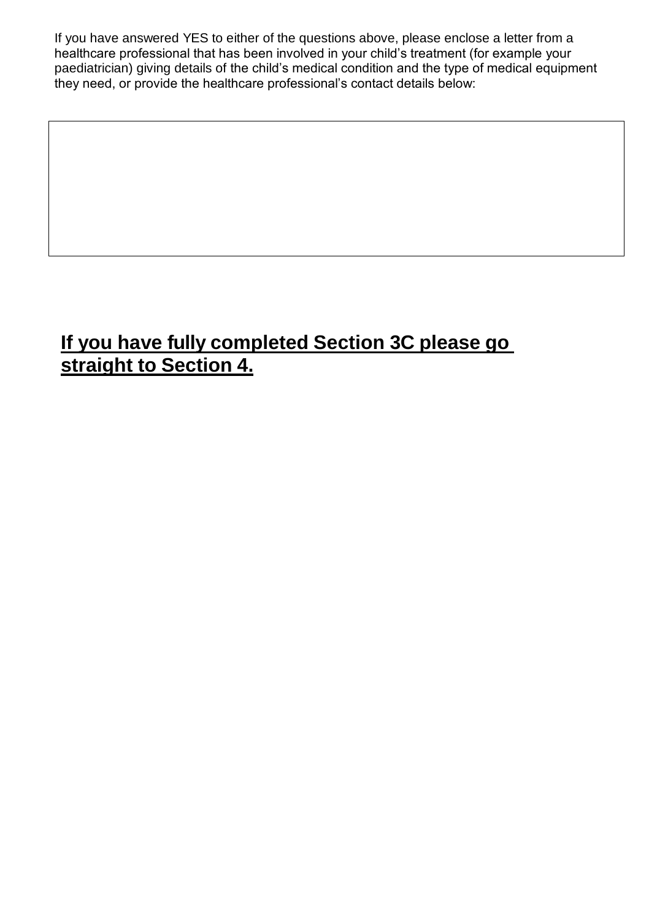If you have answered YES to either of the questions above, please enclose a letter from a healthcare professional that has been involved in your child's treatment (for example your paediatrician) giving details of the child's medical condition and the type of medical equipment they need, or provide the healthcare professional's contact details below:

# **If you have fully completed Section 3C please go straight to Section 4.**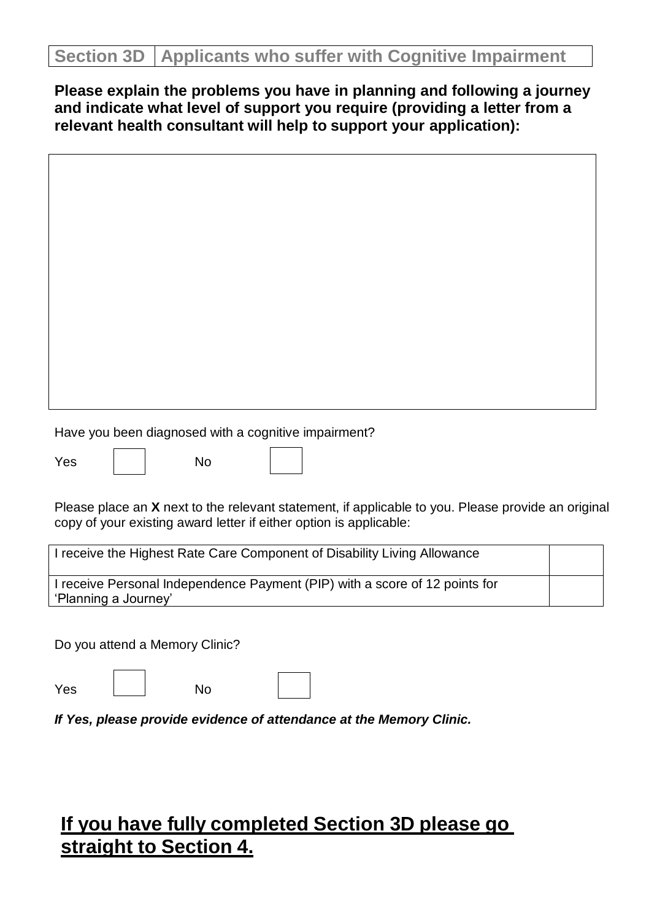### **Section 3D Applicants who suffer with Cognitive Impairment**

**Please explain the problems you have in planning and following a journey and indicate what level of support you require (providing a letter from a relevant health consultant will help to support your application):**

| Have you been diagnosed with a cognitive impairment?                                                                                                                     |
|--------------------------------------------------------------------------------------------------------------------------------------------------------------------------|
| No<br>Yes                                                                                                                                                                |
| Please place an X next to the relevant statement, if applicable to you. Please provide an original<br>copy of your existing award letter if either option is applicable: |
| I receive the Highest Rate Care Component of Disability Living Allowance                                                                                                 |
| I receive Personal Independence Payment (PIP) with a score of 12 points for<br>'Planning a Journey'                                                                      |
| Do you attend a Memory Clinic?                                                                                                                                           |
| <b>No</b><br>Yes                                                                                                                                                         |
| If Yes, please provide evidence of attendance at the Memory Clinic.                                                                                                      |
|                                                                                                                                                                          |
|                                                                                                                                                                          |
|                                                                                                                                                                          |

## **If you have fully completed Section 3D please go straight to Section 4.**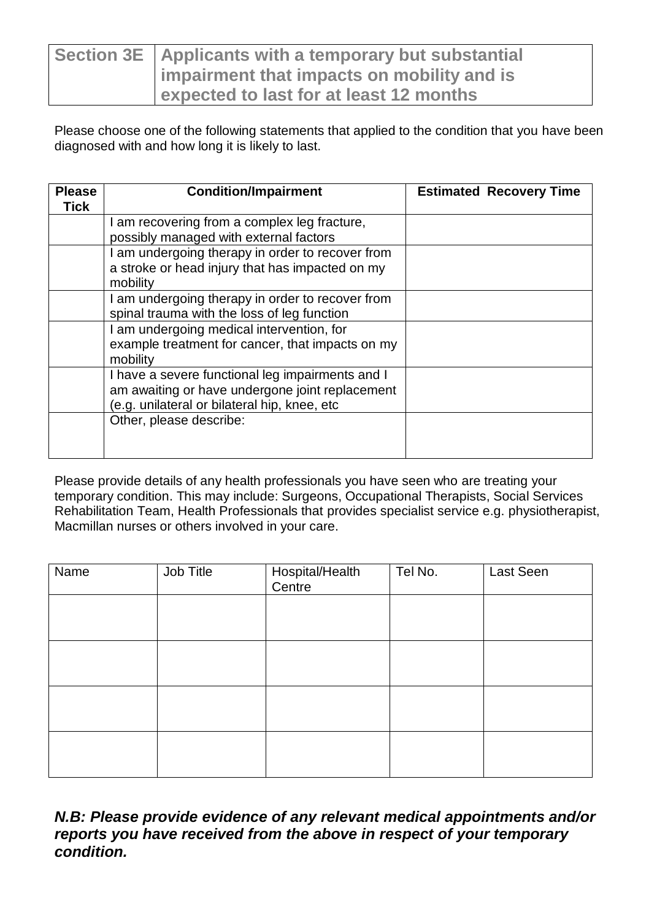| Section 3E   Applicants with a temporary but substantial |
|----------------------------------------------------------|
| Impairment that impacts on mobility and is               |
| <b>Lexpected to last for at least 12 months</b>          |

Please choose one of the following statements that applied to the condition that you have been diagnosed with and how long it is likely to last.

| <b>Please</b> | <b>Condition/Impairment</b>                                  | <b>Estimated Recovery Time</b> |
|---------------|--------------------------------------------------------------|--------------------------------|
| <b>Tick</b>   |                                                              |                                |
|               | I am recovering from a complex leg fracture,                 |                                |
|               | possibly managed with external factors                       |                                |
|               | I am undergoing therapy in order to recover from             |                                |
|               | a stroke or head injury that has impacted on my              |                                |
|               | mobility                                                     |                                |
|               | I am undergoing therapy in order to recover from             |                                |
|               | spinal trauma with the loss of leg function                  |                                |
|               | I am undergoing medical intervention, for                    |                                |
|               | example treatment for cancer, that impacts on my<br>mobility |                                |
|               | I have a severe functional leg impairments and I             |                                |
|               | am awaiting or have undergone joint replacement              |                                |
|               | (e.g. unilateral or bilateral hip, knee, etc                 |                                |
|               | Other, please describe:                                      |                                |
|               |                                                              |                                |
|               |                                                              |                                |

Please provide details of any health professionals you have seen who are treating your temporary condition. This may include: Surgeons, Occupational Therapists, Social Services Rehabilitation Team, Health Professionals that provides specialist service e.g. physiotherapist, Macmillan nurses or others involved in your care.

| Name | Job Title | Hospital/Health<br>Centre | Tel No. | Last Seen |
|------|-----------|---------------------------|---------|-----------|
|      |           |                           |         |           |
|      |           |                           |         |           |
|      |           |                           |         |           |
|      |           |                           |         |           |

*N.B: Please provide evidence of any relevant medical appointments and/or reports you have received from the above in respect of your temporary condition.*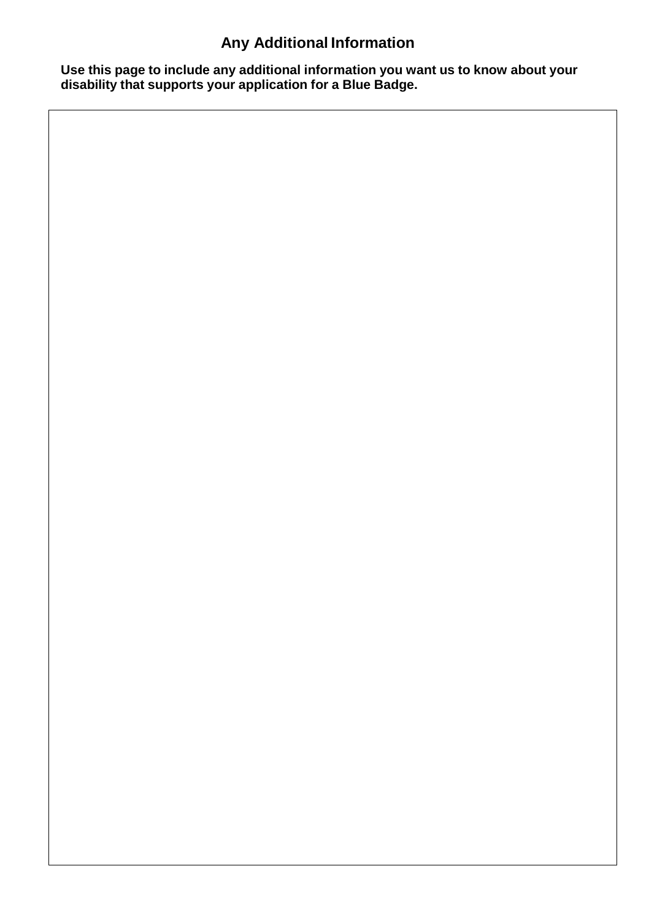# **Any Additional Information**

**Use this page to include any additional information you want us to know about your disability that supports your application for a Blue Badge.**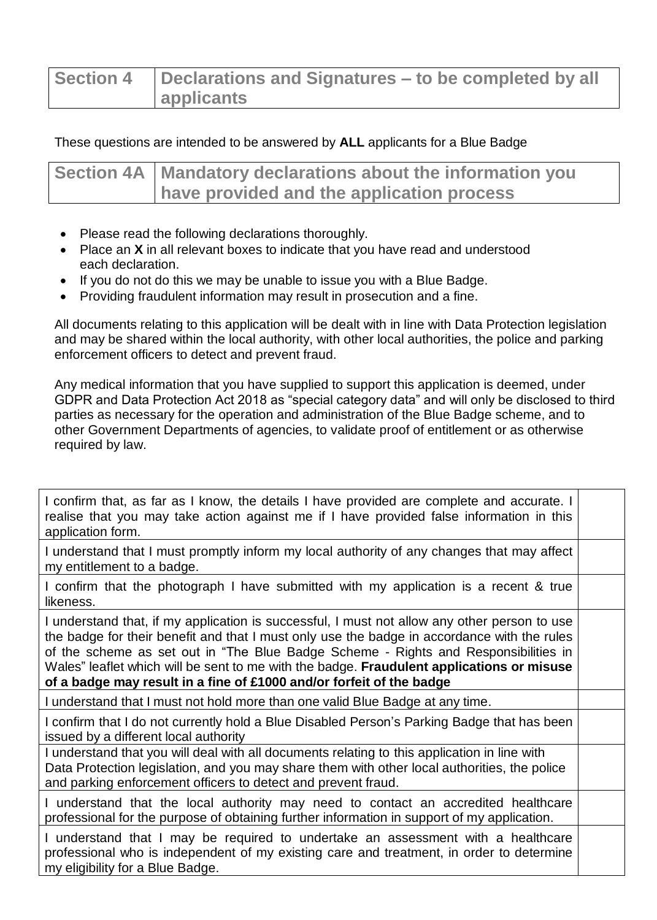| <b>Section 4</b> | Declarations and Signatures – to be completed by all |
|------------------|------------------------------------------------------|
|                  | <b>applicants</b>                                    |

#### These questions are intended to be answered by **ALL** applicants for a Blue Badge

| Section 4A   Mandatory declarations about the information you |
|---------------------------------------------------------------|
| have provided and the application process                     |

- Please read the following declarations thoroughly.
- Place an **X** in all relevant boxes to indicate that you have read and understood each declaration.
- If you do not do this we may be unable to issue you with a Blue Badge.
- Providing fraudulent information may result in prosecution and a fine.

All documents relating to this application will be dealt with in line with Data Protection legislation and may be shared within the local authority, with other local authorities, the police and parking enforcement officers to detect and prevent fraud.

Any medical information that you have supplied to support this application is deemed, under GDPR and Data Protection Act 2018 as "special category data" and will only be disclosed to third parties as necessary for the operation and administration of the Blue Badge scheme, and to other Government Departments of agencies, to validate proof of entitlement or as otherwise required by law.

| I confirm that, as far as I know, the details I have provided are complete and accurate. I<br>realise that you may take action against me if I have provided false information in this<br>application form.                                                                                                                                                                                                                                             |  |
|---------------------------------------------------------------------------------------------------------------------------------------------------------------------------------------------------------------------------------------------------------------------------------------------------------------------------------------------------------------------------------------------------------------------------------------------------------|--|
| I understand that I must promptly inform my local authority of any changes that may affect<br>my entitlement to a badge.                                                                                                                                                                                                                                                                                                                                |  |
| I confirm that the photograph I have submitted with my application is a recent & true<br>likeness.                                                                                                                                                                                                                                                                                                                                                      |  |
| I understand that, if my application is successful, I must not allow any other person to use<br>the badge for their benefit and that I must only use the badge in accordance with the rules<br>of the scheme as set out in "The Blue Badge Scheme - Rights and Responsibilities in<br>Wales" leaflet which will be sent to me with the badge. Fraudulent applications or misuse<br>of a badge may result in a fine of £1000 and/or forfeit of the badge |  |
| I understand that I must not hold more than one valid Blue Badge at any time.                                                                                                                                                                                                                                                                                                                                                                           |  |
| I confirm that I do not currently hold a Blue Disabled Person's Parking Badge that has been<br>issued by a different local authority                                                                                                                                                                                                                                                                                                                    |  |
| I understand that you will deal with all documents relating to this application in line with<br>Data Protection legislation, and you may share them with other local authorities, the police<br>and parking enforcement officers to detect and prevent fraud.                                                                                                                                                                                           |  |
| I understand that the local authority may need to contact an accredited healthcare<br>professional for the purpose of obtaining further information in support of my application.                                                                                                                                                                                                                                                                       |  |
| I understand that I may be required to undertake an assessment with a healthcare<br>professional who is independent of my existing care and treatment, in order to determine<br>my eligibility for a Blue Badge.                                                                                                                                                                                                                                        |  |